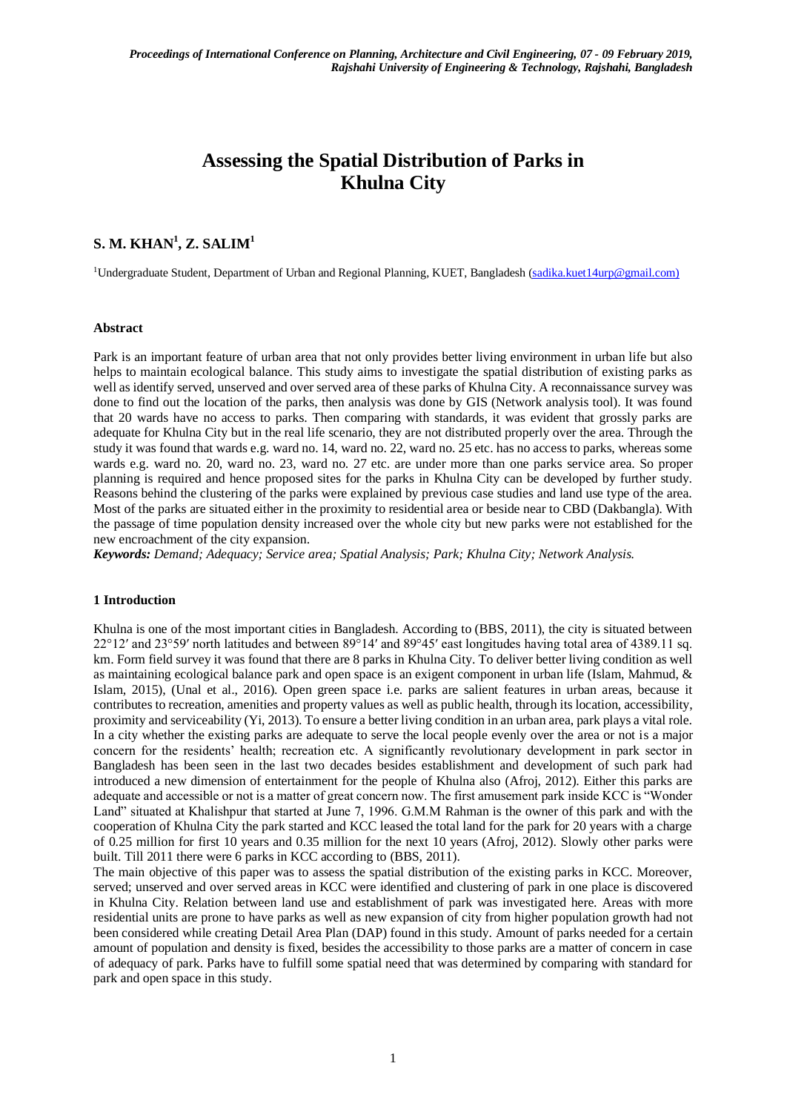# **Assessing the Spatial Distribution of Parks in Khulna City**

# $\mathbf{S}.$  M.  $\mathbf{KHAN}^{1}, \mathbf{Z}.$   $\mathbf{SALIM}^{1}$

<sup>1</sup>Undergraduate Student, Department of Urban and Regional Planning, KUET, Bangladesh [\(sadika.kuet14urp@gmail.com\)](file:///E:/Paper/Park%20analysis/New%20folder/sadika.kuet14urp@gmail.com))

### **Abstract**

Park is an important feature of urban area that not only provides better living environment in urban life but also helps to maintain ecological balance. This study aims to investigate the spatial distribution of existing parks as well as identify served, unserved and over served area of these parks of Khulna City. A reconnaissance survey was done to find out the location of the parks, then analysis was done by GIS (Network analysis tool). It was found that 20 wards have no access to parks. Then comparing with standards, it was evident that grossly parks are adequate for Khulna City but in the real life scenario, they are not distributed properly over the area. Through the study it was found that wards e.g. ward no. 14, ward no. 22, ward no. 25 etc. has no access to parks, whereas some wards e.g. ward no. 20, ward no. 23, ward no. 27 etc. are under more than one parks service area. So proper planning is required and hence proposed sites for the parks in Khulna City can be developed by further study. Reasons behind the clustering of the parks were explained by previous case studies and land use type of the area. Most of the parks are situated either in the proximity to residential area or beside near to CBD (Dakbangla). With the passage of time population density increased over the whole city but new parks were not established for the new encroachment of the city expansion.

*Keywords: Demand; Adequacy; Service area; Spatial Analysis; Park; Khulna City; Network Analysis.*

#### **1 Introduction**

Khulna is one of the most important cities in Bangladesh. According to (BBS, 2011), the city is situated between 22°12′ and 23°59′ north latitudes and between 89°14′ and 89°45′ east longitudes having total area of 4389.11 sq. km. Form field survey it was found that there are 8 parks in Khulna City. To deliver better living condition as well as maintaining ecological balance park and open space is an exigent component in urban life (Islam, Mahmud, & Islam, 2015), (Unal et al., 2016). Open green space i.e. parks are salient features in urban areas, because it contributes to recreation, amenities and property values as well as public health, through its location, accessibility, proximity and serviceability (Yi, 2013). To ensure a better living condition in an urban area, park plays a vital role. In a city whether the existing parks are adequate to serve the local people evenly over the area or not is a major concern for the residents' health; recreation etc. A significantly revolutionary development in park sector in Bangladesh has been seen in the last two decades besides establishment and development of such park had introduced a new dimension of entertainment for the people of Khulna also (Afroj, 2012). Either this parks are adequate and accessible or not is a matter of great concern now. The first amusement park inside KCC is "Wonder Land" situated at Khalishpur that started at June 7, 1996. G.M.M Rahman is the owner of this park and with the cooperation of Khulna City the park started and KCC leased the total land for the park for 20 years with a charge of 0.25 million for first 10 years and 0.35 million for the next 10 years (Afroj, 2012). Slowly other parks were built. Till 2011 there were 6 parks in KCC according to (BBS, 2011).

The main objective of this paper was to assess the spatial distribution of the existing parks in KCC. Moreover, served; unserved and over served areas in KCC were identified and clustering of park in one place is discovered in Khulna City. Relation between land use and establishment of park was investigated here. Areas with more residential units are prone to have parks as well as new expansion of city from higher population growth had not been considered while creating Detail Area Plan (DAP) found in this study. Amount of parks needed for a certain amount of population and density is fixed, besides the accessibility to those parks are a matter of concern in case of adequacy of park. Parks have to fulfill some spatial need that was determined by comparing with standard for park and open space in this study.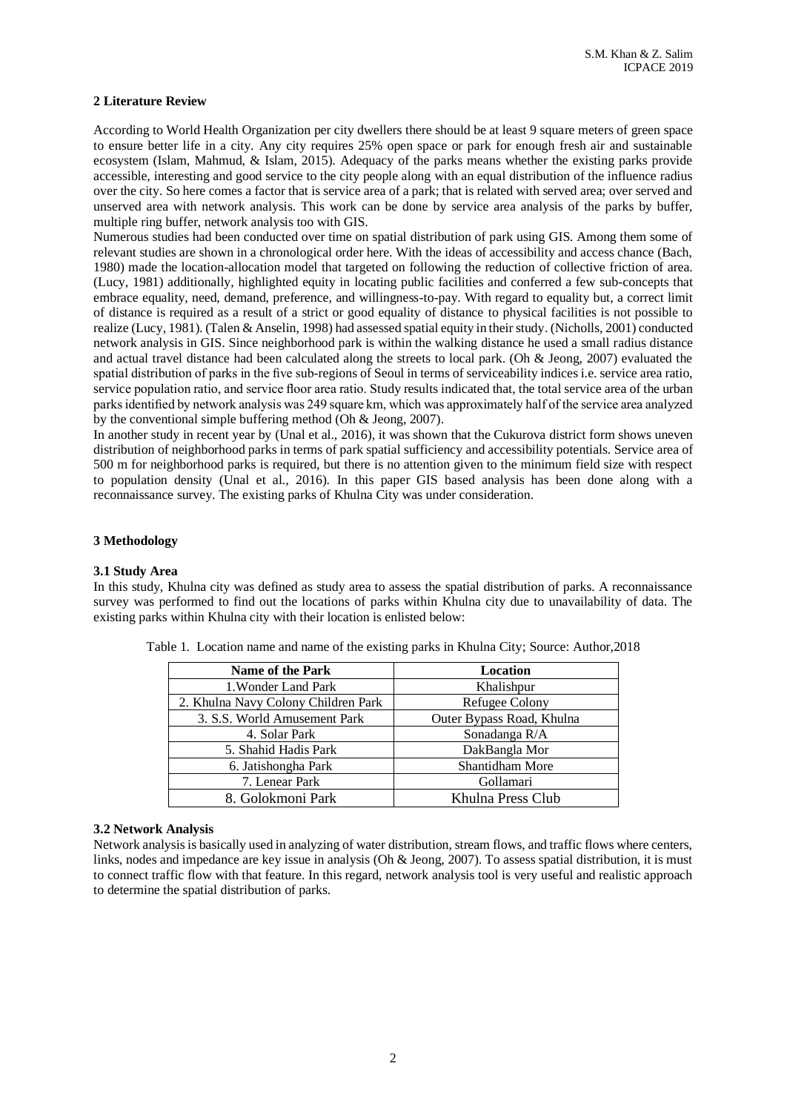### **2 Literature Review**

According to World Health Organization per city dwellers there should be at least 9 square meters of green space to ensure better life in a city. Any city requires 25% open space or park for enough fresh air and sustainable ecosystem (Islam, Mahmud, & Islam, 2015). Adequacy of the parks means whether the existing parks provide accessible, interesting and good service to the city people along with an equal distribution of the influence radius over the city. So here comes a factor that is service area of a park; that is related with served area; over served and unserved area with network analysis. This work can be done by service area analysis of the parks by buffer, multiple ring buffer, network analysis too with GIS.

Numerous studies had been conducted over time on spatial distribution of park using GIS. Among them some of relevant studies are shown in a chronological order here. With the ideas of accessibility and access chance (Bach, 1980) made the location-allocation model that targeted on following the reduction of collective friction of area. (Lucy, 1981) additionally, highlighted equity in locating public facilities and conferred a few sub-concepts that embrace equality, need, demand, preference, and willingness-to-pay. With regard to equality but, a correct limit of distance is required as a result of a strict or good equality of distance to physical facilities is not possible to realize (Lucy, 1981). (Talen & Anselin, 1998) had assessed spatial equity in their study. (Nicholls, 2001) conducted network analysis in GIS. Since neighborhood park is within the walking distance he used a small radius distance and actual travel distance had been calculated along the streets to local park. (Oh & Jeong, 2007) evaluated the spatial distribution of parks in the five sub-regions of Seoul in terms of serviceability indices i.e. service area ratio, service population ratio, and service floor area ratio. Study results indicated that, the total service area of the urban parks identified by network analysis was 249 square km, which was approximately half of the service area analyzed by the conventional simple buffering method (Oh & Jeong, 2007).

In another study in recent year by (Unal et al., 2016), it was shown that the Cukurova district form shows uneven distribution of neighborhood parks in terms of park spatial sufficiency and accessibility potentials. Service area of 500 m for neighborhood parks is required, but there is no attention given to the minimum field size with respect to population density (Unal et al., 2016). In this paper GIS based analysis has been done along with a reconnaissance survey. The existing parks of Khulna City was under consideration.

## **3 Methodology**

#### **3.1 Study Area**

In this study, Khulna city was defined as study area to assess the spatial distribution of parks. A reconnaissance survey was performed to find out the locations of parks within Khulna city due to unavailability of data. The existing parks within Khulna city with their location is enlisted below:

| <b>Name of the Park</b>             | Location                  |  |  |
|-------------------------------------|---------------------------|--|--|
| 1. Wonder Land Park                 | Khalishpur                |  |  |
| 2. Khulna Navy Colony Children Park | Refugee Colony            |  |  |
| 3. S.S. World Amusement Park        | Outer Bypass Road, Khulna |  |  |
| 4. Solar Park                       | Sonadanga R/A             |  |  |
| 5. Shahid Hadis Park                | DakBangla Mor             |  |  |
| 6. Jatishongha Park                 | <b>Shantidham More</b>    |  |  |
| 7. Lenear Park                      | Gollamari                 |  |  |
| 8. Golokmoni Park                   | Khulna Press Club         |  |  |

Table 1. Location name and name of the existing parks in Khulna City; Source: Author,2018

#### **3.2 Network Analysis**

Network analysis is basically used in analyzing of water distribution, stream flows, and traffic flows where centers, links, nodes and impedance are key issue in analysis (Oh & Jeong, 2007). To assess spatial distribution, it is must to connect traffic flow with that feature. In this regard, network analysis tool is very useful and realistic approach to determine the spatial distribution of parks.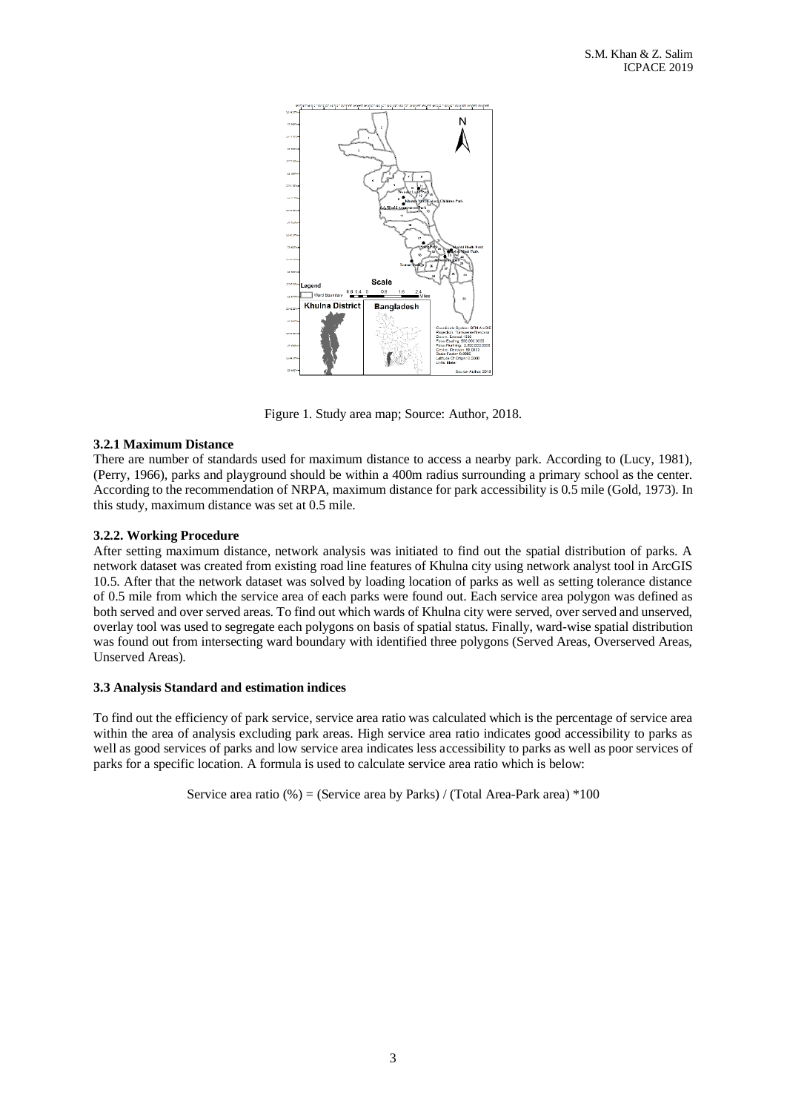

Figure 1. Study area map; Source: Author, 2018.

# **3.2.1 Maximum Distance**

There are number of standards used for maximum distance to access a nearby park. According to (Lucy, 1981), (Perry, 1966), parks and playground should be within a 400m radius surrounding a primary school as the center. According to the recommendation of NRPA, maximum distance for park accessibility is 0.5 mile (Gold, 1973). In this study, maximum distance was set at 0.5 mile.

# **3.2.2. Working Procedure**

After setting maximum distance, network analysis was initiated to find out the spatial distribution of parks. A network dataset was created from existing road line features of Khulna city using network analyst tool in ArcGIS 10.5. After that the network dataset was solved by loading location of parks as well as setting tolerance distance of 0.5 mile from which the service area of each parks were found out. Each service area polygon was defined as both served and over served areas. To find out which wards of Khulna city were served, over served and unserved, overlay tool was used to segregate each polygons on basis of spatial status. Finally, ward-wise spatial distribution was found out from intersecting ward boundary with identified three polygons (Served Areas, Overserved Areas, Unserved Areas).

## **3.3 Analysis Standard and estimation indices**

To find out the efficiency of park service, service area ratio was calculated which is the percentage of service area within the area of analysis excluding park areas. High service area ratio indicates good accessibility to parks as well as good services of parks and low service area indicates less accessibility to parks as well as poor services of parks for a specific location. A formula is used to calculate service area ratio which is below:

Service area ratio  $%$  = (Service area by Parks) / (Total Area-Park area)  $*100$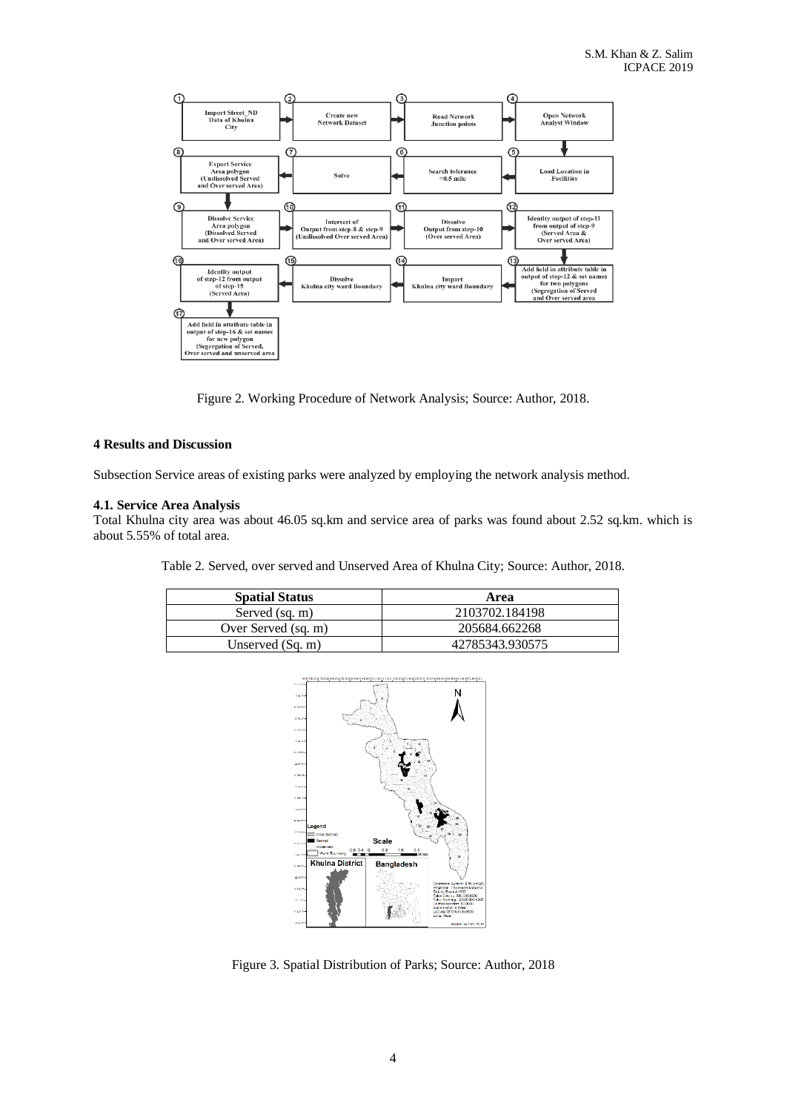

Figure 2. Working Procedure of Network Analysis; Source: Author, 2018.

## **4 Results and Discussion**

Subsection Service areas of existing parks were analyzed by employing the network analysis method.

## **4.1. Service Area Analysis**

Total Khulna city area was about 46.05 sq.km and service area of parks was found about 2.52 sq.km. which is about 5.55% of total area.

Table 2. Served, over served and Unserved Area of Khulna City; Source: Author, 2018.

| <b>Spatial Status</b> | Area            |  |  |
|-----------------------|-----------------|--|--|
| Served (sq. m)        | 2103702.184198  |  |  |
| Over Served (sq. m)   | 205684.662268   |  |  |
| Unserved $(Sq. m)$    | 42785343.930575 |  |  |



Figure 3. Spatial Distribution of Parks; Source: Author, 2018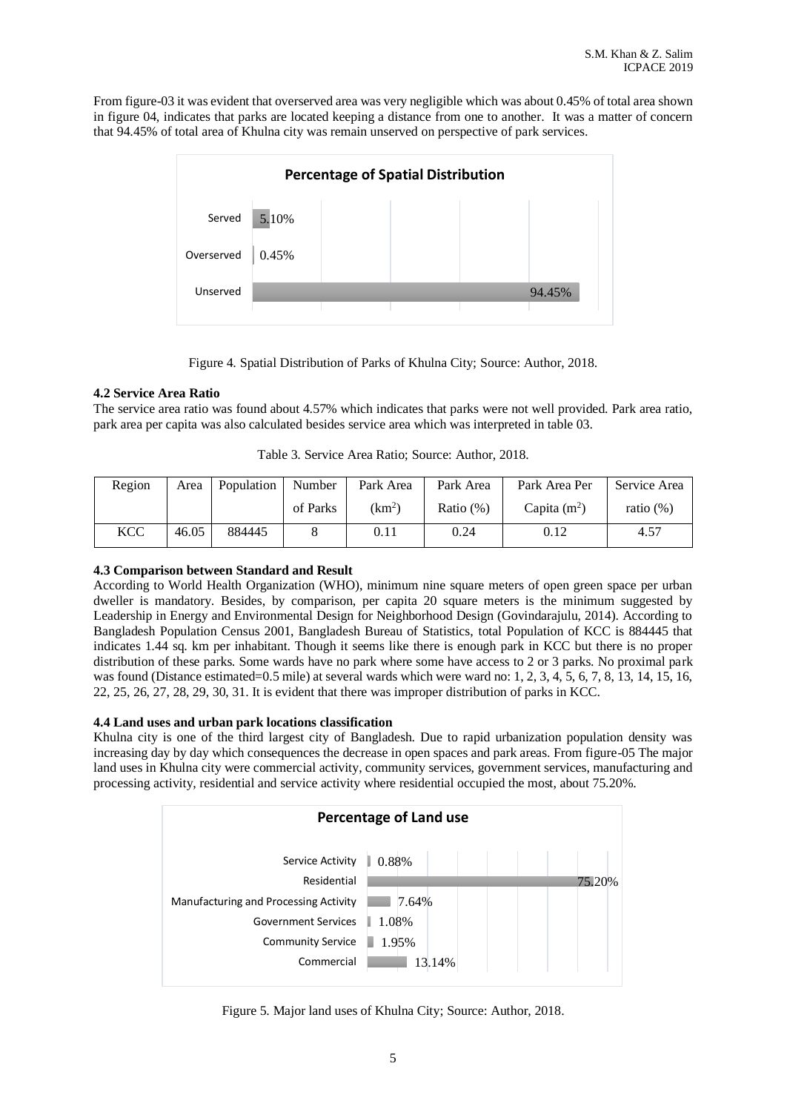From figure-03 it was evident that overserved area was very negligible which was about 0.45% of total area shown in figure 04, indicates that parks are located keeping a distance from one to another. It was a matter of concern that 94.45% of total area of Khulna city was remain unserved on perspective of park services.



Figure 4. Spatial Distribution of Parks of Khulna City; Source: Author, 2018.

## **4.2 Service Area Ratio**

The service area ratio was found about 4.57% which indicates that parks were not well provided. Park area ratio, park area per capita was also calculated besides service area which was interpreted in table 03.

| Region     | Area  | Population | Number   | Park Area          | Park Area    | Park Area Per  | Service Area |
|------------|-------|------------|----------|--------------------|--------------|----------------|--------------|
|            |       |            | of Parks | (km <sup>2</sup> ) | Ratio $(\%)$ | Capita $(m^2)$ | ratio $(\%)$ |
| <b>KCC</b> | 46.05 | 884445     |          | 0.11               | 0.24         | 0.12           | 4.57         |

# **4.3 Comparison between Standard and Result**

According to World Health Organization (WHO), minimum nine square meters of open green space per urban dweller is mandatory. Besides, by comparison, per capita 20 square meters is the minimum suggested by Leadership in Energy and Environmental Design for Neighborhood Design (Govindarajulu, 2014). According to Bangladesh Population Census 2001, Bangladesh Bureau of Statistics, total Population of KCC is 884445 that indicates 1.44 sq. km per inhabitant. Though it seems like there is enough park in KCC but there is no proper distribution of these parks. Some wards have no park where some have access to 2 or 3 parks. No proximal park was found (Distance estimated=0.5 mile) at several wards which were ward no: 1, 2, 3, 4, 5, 6, 7, 8, 13, 14, 15, 16, 22, 25, 26, 27, 28, 29, 30, 31. It is evident that there was improper distribution of parks in KCC.

# **4.4 Land uses and urban park locations classification**

Khulna city is one of the third largest city of Bangladesh. Due to rapid urbanization population density was increasing day by day which consequences the decrease in open spaces and park areas. From figure-05 The major land uses in Khulna city were commercial activity, community services, government services, manufacturing and processing activity, residential and service activity where residential occupied the most, about 75.20%.



Figure 5. Major land uses of Khulna City; Source: Author, 2018.